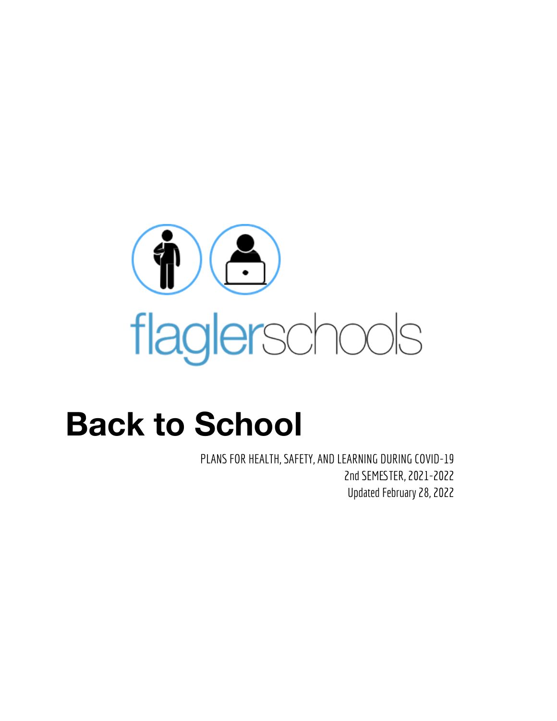

# **Back to School**

PLANS FOR HEALTH, SAFETY, AND LEARNING DURING COVID-19 2nd SEMESTER, 2021-2022 Updated February 28, 2022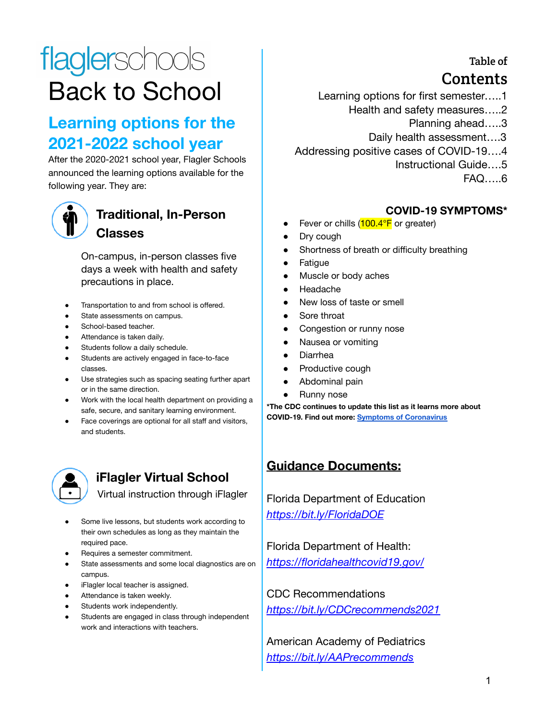# flaglerschools Back to School

# **Learning options for the 2021-2022 school year**

After the 2020-2021 school year, Flagler Schools announced the learning options available for the following year. They are:



## **Traditional, In-Person Classes**

On-campus, in-person classes five days a week with health and safety precautions in place.

- Transportation to and from school is offered.
- State assessments on campus.
- School-based teacher.
- Attendance is taken daily.
- Students follow a daily schedule.
- Students are actively engaged in face-to-face classes.
- Use strategies such as spacing seating further apart or in the same direction.
- Work with the local health department on providing a safe, secure, and sanitary learning environment.
- Face coverings are optional for all staff and visitors, and students.



## **iFlagler Virtual School**

Virtual instruction through iFlagler

- Some live lessons, but students work according to their own schedules as long as they maintain the required pace.
- Requires a semester commitment.
- State assessments and some local diagnostics are on campus.
- iFlagler local teacher is assigned.
- Attendance is taken weekly.
- Students work independently.
- Students are engaged in class through independent work and interactions with teachers.

Table of

# Contents

- Learning options for first semester…..1
	- Health and safety measures…..2
		- Planning ahead…..3
		- Daily health assessment….3
- Addressing positive cases of COVID-19….4
	- Instructional Guide….5
		- FAQ…..6

### **COVID-19 SYMPTOMS\***

- Fever or chills  $(100.4^{\circ}F)$  or greater)
- Dry cough
- Shortness of breath or difficulty breathing
- **Fatigue**
- Muscle or body aches
- **Headache**
- New loss of taste or smell
- Sore throat
- Congestion or runny nose
- Nausea or vomiting
- **Diarrhea**
- Productive cough
- Abdominal pain
- Runny nose

**\*The CDC continues to update this list as it learns more about COVID-19. Find out more: Symptoms of [Coronavirus](https://www.cdc.gov/coronavirus/2019-ncov/symptoms-testing/symptoms.html)**

### **Guidance Documents:**

Florida Department of Education *<https://bit.ly/FloridaDOE>*

Florida Department of Health: *[https://floridahealthcovid19.gov/](https://floridahealthcovid19.gov)*

CDC Recommendations *<https://bit.ly/CDCrecommends2021>*

American Academy of Pediatrics *<https://bit.ly/AAPrecommends>*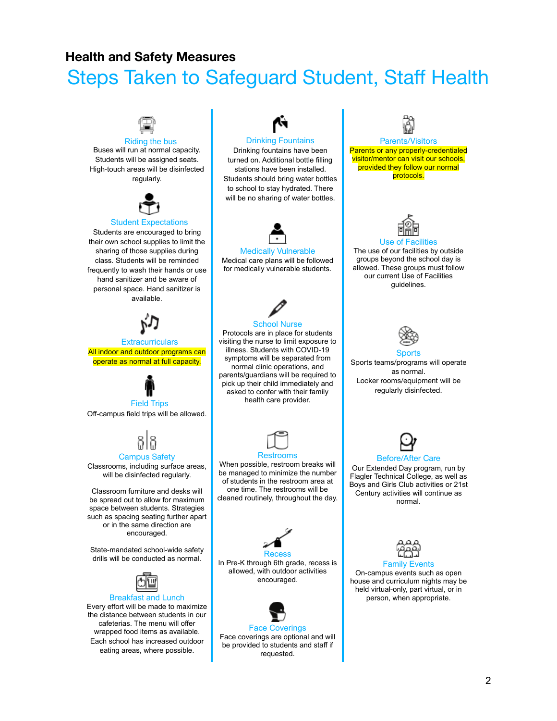### **Health and Safety Measures**

# Steps Taken to Safeguard Student, Staff Health

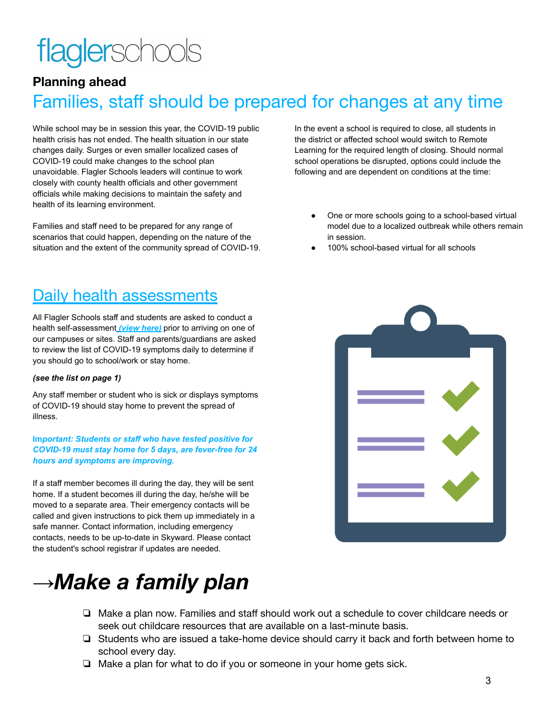# flaglerschools

# **Planning ahead** Families, staff should be prepared for changes at any time

While school may be in session this year, the COVID-19 public health crisis has not ended. The health situation in our state changes daily. Surges or even smaller localized cases of COVID-19 could make changes to the school plan unavoidable. Flagler Schools leaders will continue to work closely with county health officials and other government officials while making decisions to maintain the safety and health of its learning environment.

Families and staff need to be prepared for any range of scenarios that could happen, depending on the nature of the situation and the extent of the community spread of COVID-19.

# Daily health assessments

All Flagler Schools staff and students are asked to conduct a health self-assessment *[\(view here\)](https://flaglerschools.com/common/pages/DisplayFile.aspx?itemId=44981571)* prior to arriving on one of our campuses or sites. Staff and parents/guardians are asked to review the list of COVID-19 symptoms daily to determine if you should go to school/work or stay home.

#### *(see the list on page 1)*

Any staff member or student who is sick or displays symptoms of COVID-19 should stay home to prevent the spread of illness.

#### **Im***portant: Students or staff who have tested positive for COVID-19 must stay home for 5 days, are fever-free for 24 hours and symptoms are improving.*

If a staff member becomes ill during the day, they will be sent home. If a student becomes ill during the day, he/she will be moved to a separate area. Their emergency contacts will be called and given instructions to pick them up immediately in a safe manner. Contact information, including emergency contacts, needs to be up-to-date in Skyward. Please contact the student's school registrar if updates are needed.

# **→***Make a family plan*

- ❏ Make a plan now. Families and staff should work out a schedule to cover childcare needs or seek out childcare resources that are available on a last-minute basis.
- ❏ Students who are issued a take-home device should carry it back and forth between home to school every day.
- ❏ Make a plan for what to do if you or someone in your home gets sick.

In the event a school is required to close, all students in the district or affected school would switch to Remote Learning for the required length of closing. Should normal school operations be disrupted, options could include the following and are dependent on conditions at the time:

- One or more schools going to a school-based virtual model due to a localized outbreak while others remain in session.
- 100% school-based virtual for all schools

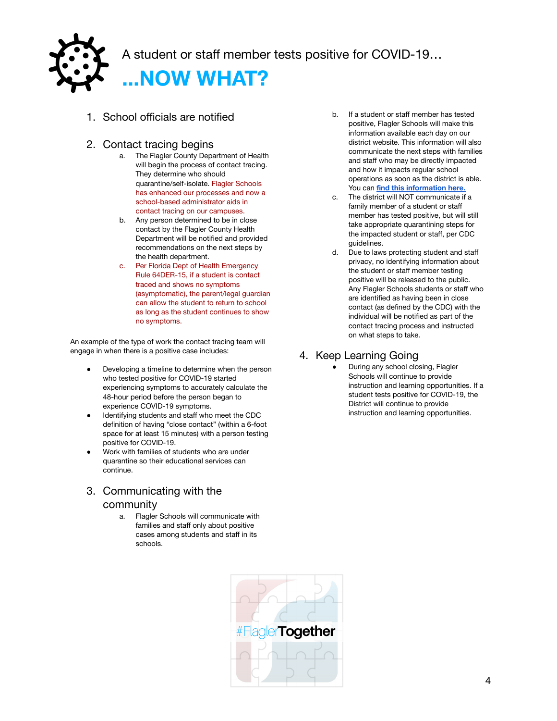

A student or staff member tests positive for COVID-19…

**...NOW WHAT?**

- 1. School officials are notified
- 2. Contact tracing begins
	- a. The Flagler County Department of Health will begin the process of contact tracing. They determine who should quarantine/self-isolate. Flagler Schools has enhanced our processes and now a school-based administrator aids in contact tracing on our campuses.
	- b. Any person determined to be in close contact by the Flagler County Health Department will be notified and provided recommendations on the next steps by the health department.
	- c. Per Florida Dept of Health Emergency Rule 64DER-15, if a student is contact traced and shows no symptoms (asymptomatic), the parent/legal guardian can allow the student to return to school as long as the student continues to show no symptoms.

An example of the type of work the contact tracing team will engage in when there is a positive case includes:

- Developing a timeline to determine when the person who tested positive for COVID-19 started experiencing symptoms to accurately calculate the 48-hour period before the person began to experience COVID-19 symptoms.
- Identifying students and staff who meet the CDC definition of having "close contact" (within a 6-foot space for at least 15 minutes) with a person testing positive for COVID-19.
- Work with families of students who are under quarantine so their educational services can continue.
- 3. Communicating with the community
	- a. Flagler Schools will communicate with families and staff only about positive cases among students and staff in its schools.



- c. The district will NOT communicate if a family member of a student or staff member has tested positive, but will still take appropriate quarantining steps for the impacted student or staff, per CDC guidelines.
- d. Due to laws protecting student and staff privacy, no identifying information about the student or staff member testing positive will be released to the public. Any Flagler Schools students or staff who are identified as having been in close contact (as defined by the CDC) with the individual will be notified as part of the contact tracing process and instructed on what steps to take.

### 4. Keep Learning Going

During any school closing, Flagler Schools will continue to provide instruction and learning opportunities. If a student tests positive for COVID-19, the District will continue to provide instruction and learning opportunities.

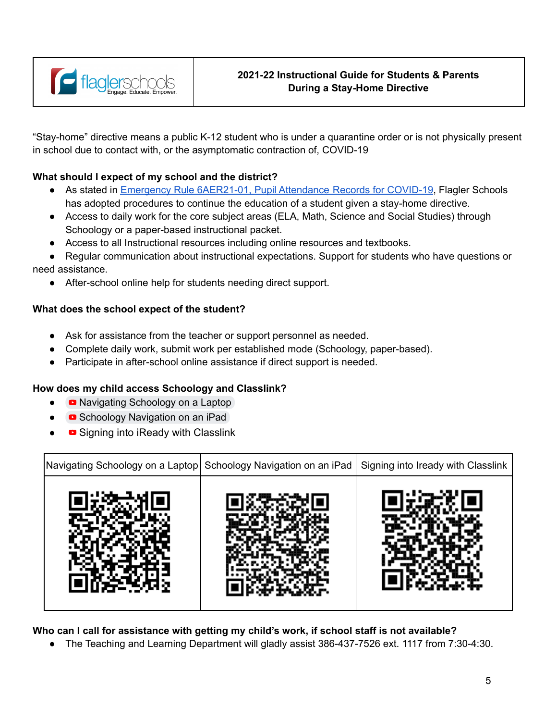

"Stay-home" directive means a public K-12 student who is under a quarantine order or is not physically present in school due to contact with, or the asymptomatic contraction of, COVID-19

### **What should I expect of my school and the district?**

- As stated in Emergency Rule [6AER21-01,](https://flaglerschools.com/common/pages/DisplayFile.aspx?itemId=45277692) Pupil Attendance Records for COVID-19, Flagler Schools has adopted procedures to continue the education of a student given a stay-home directive.
- Access to daily work for the core subject areas (ELA, Math, Science and Social Studies) through Schoology or a paper-based instructional packet.
- Access to all Instructional resources including online resources and textbooks.
- Regular communication about instructional expectations. Support for students who have questions or need assistance.
	- After-school online help for students needing direct support.

#### **What does the school expect of the student?**

- Ask for assistance from the teacher or support personnel as needed.
- Complete daily work, submit work per established mode (Schoology, paper-based).
- Participate in after-school online assistance if direct support is needed.

#### **How does my child access Schoology and Classlink?**

- **■** [Navigating](https://www.youtube.com/watch?v=ud0-PXJ2JB4&ab_channel=TeresaPhillips) Schoology on a Laptop
- Schoology [Navigation](https://www.youtube.com/watch?v=vDGJr70ZjEY&ab_channel=TeresaPhillips) on an iPad
- Signing into iReady with [Classlink](https://youtu.be/h9vsuwmHB3M)

| Navigating Schoology on a Laptop Schoology Navigation on an iPad   Signing into Iready with Classlink |  |
|-------------------------------------------------------------------------------------------------------|--|
|                                                                                                       |  |

**Who can I call for assistance with getting my child's work, if school staff is not available?**

● The Teaching and Learning Department will gladly assist 386-437-7526 ext. 1117 from 7:30-4:30.